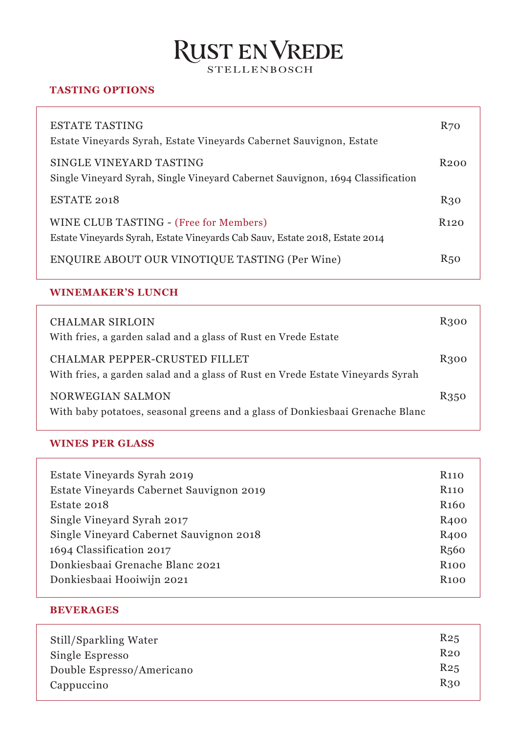# RUST EN VREDE

### **TASTING OPTIONS**

| ESTATE TASTING<br>Estate Vinevards Syrah, Estate Vinevards Cabernet Sauvignon, Estate                                 | <b>R70</b>       |
|-----------------------------------------------------------------------------------------------------------------------|------------------|
| SINGLE VINEYARD TASTING<br>Single Vineyard Syrah, Single Vineyard Cabernet Sauvignon, 1694 Classification             | R <sub>200</sub> |
| ESTATE 2018                                                                                                           | R30              |
| WINE CLUB TASTING - (Free for Members)<br>Estate Vineyards Syrah, Estate Vineyards Cab Sauv, Estate 2018, Estate 2014 | R120             |
| <b>ENQUIRE ABOUT OUR VINOTIQUE TASTING (Per Wine)</b>                                                                 | R50              |

#### **WINEMAKER'S LUNCH**

| CHALMAR SIRLOIN<br>With fries, a garden salad and a glass of Rust en Vrede Estate                               | R300 |
|-----------------------------------------------------------------------------------------------------------------|------|
| CHALMAR PEPPER-CRUSTED FILLET<br>With fries, a garden salad and a glass of Rust en Vrede Estate Vineyards Syrah | R300 |
| NORWEGIAN SALMON<br>With baby potatoes, seasonal greens and a glass of Donkiesbaai Grenache Blanc               | R350 |

#### **WINES PER GLASS**

| Estate Vineyards Syrah 2019              | R <sub>110</sub> |
|------------------------------------------|------------------|
| Estate Vineyards Cabernet Sauvignon 2019 | R <sub>110</sub> |
| Estate 2018                              | R <sub>160</sub> |
| Single Vineyard Syrah 2017               | R <sub>400</sub> |
| Single Vineyard Cabernet Sauvignon 2018  | R <sub>400</sub> |
| 1694 Classification 2017                 | R <sub>560</sub> |
| Donkiesbaai Grenache Blanc 2021          | <b>R100</b>      |
| Donkiesbaai Hooiwijn 2021                | <b>R100</b>      |
|                                          |                  |

### **BEVERAGES**

| Still/Sparkling Water     | R <sub>25</sub> |
|---------------------------|-----------------|
| Single Espresso           | R <sub>20</sub> |
| Double Espresso/Americano | R <sub>25</sub> |
| Cappuccino                | R30             |